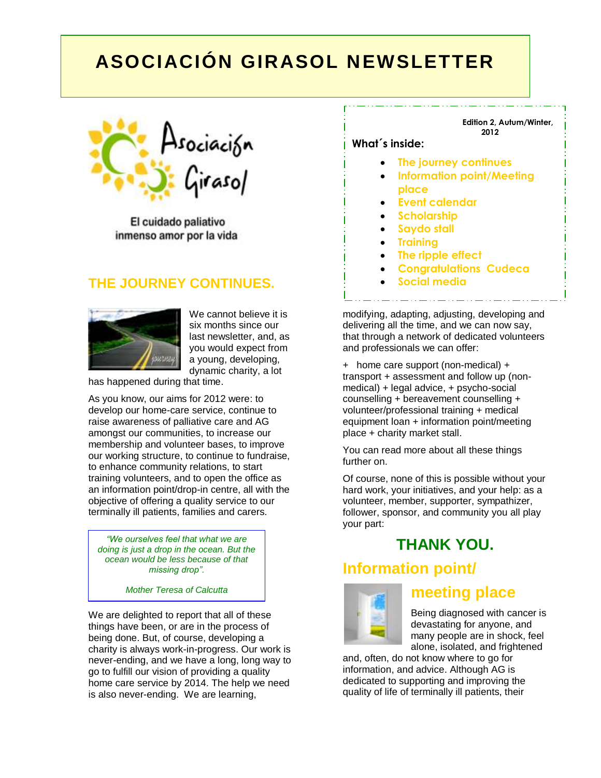# **ASOCIACIÓN GIRASOL NEWSLETTER**



El cuidado paliativo inmenso amor por la vida

## **THE JOURNEY CONTINUES.**



We cannot believe it is six months since our last newsletter, and, as you would expect from a young, developing, dynamic charity, a lot

has happened during that time.

As you know, our aims for 2012 were: to develop our home-care service, continue to raise awareness of palliative care and AG amongst our communities, to increase our membership and volunteer bases, to improve our working structure, to continue to fundraise, to enhance community relations, to start training volunteers, and to open the office as an information point/drop-in centre, all with the objective of offering a quality service to our terminally ill patients, families and carers.

*"We ourselves feel that what we are doing is just a drop in the ocean. But the ocean would be less because of that missing drop".*

*Mother Teresa of Calcutta*

We are delighted to report that all of these things have been, or are in the process of being done. But, of course, developing a charity is always work-in-progress. Our work is never-ending, and we have a long, long way to go to fulfill our vision of providing a quality home care service by 2014. The help we need is also never-ending. We are learning,

#### **Edition 2, Autum/Winter, 2012**

### **What´s inside:**

- **The journey continues**
- **Information point/Meeting place**
- **Event calendar**
- **Scholarship**
- **Saydo stall**
- **Training**
- **The ripple effect**
- **Congratulations Cudeca**
- **Social media**

modifying, adapting, adjusting, developing and delivering all the time, and we can now say, that through a network of dedicated volunteers and professionals we can offer:

+ home care support (non-medical) + transport + assessment and follow up (nonmedical) + legal advice, + psycho-social counselling + bereavement counselling + volunteer/professional training + medical equipment loan + information point/meeting place + charity market stall.

You can read more about all these things further on.

Of course, none of this is possible without your hard work, your initiatives, and your help: as a volunteer, member, supporter, sympathizer, follower, sponsor, and community you all play your part:

# **THANK YOU.**

## **Information point/**



### **meeting place**

Being diagnosed with cancer is devastating for anyone, and many people are in shock, feel alone, isolated, and frightened

and, often, do not know where to go for information, and advice. Although AG is dedicated to supporting and improving the quality of life of terminally ill patients, their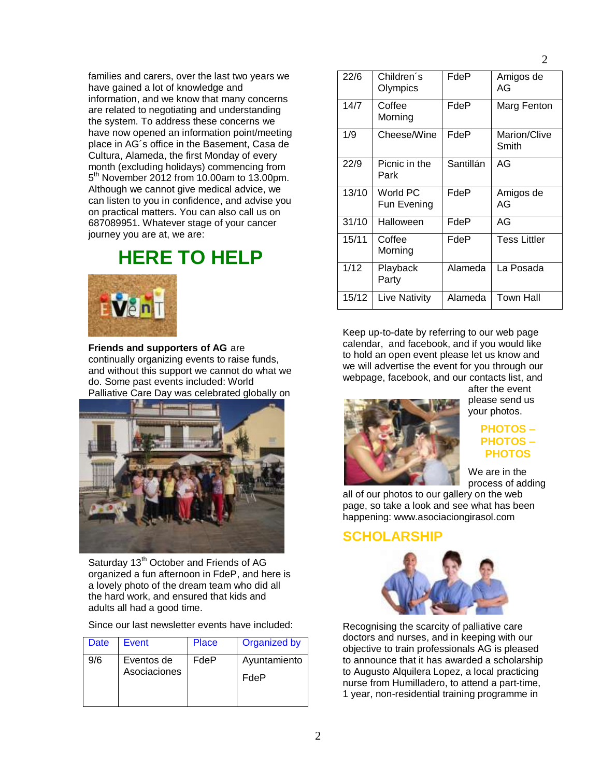families and carers, over the last two years we have gained a lot of knowledge and information, and we know that many concerns are related to negotiating and understanding the system. To address these concerns we have now opened an information point/meeting place in AG´s office in the Basement, Casa de Cultura, Alameda, the first Monday of every month (excluding holidays) commencing from 5 th November 2012 from 10.00am to 13.00pm. Although we cannot give medical advice, we can listen to you in confidence, and advise you on practical matters. You can also call us on 687089951. Whatever stage of your cancer journey you are at, we are:

# **HERE TO HELP**



**Friends and supporters of AG** are continually organizing events to raise funds, and without this support we cannot do what we do. Some past events included: World Palliative Care Day was celebrated globally on



Saturday 13<sup>th</sup> October and Friends of AG organized a fun afternoon in FdeP, and here is a lovely photo of the dream team who did all the hard work, and ensured that kids and adults all had a good time.

Since our last newsletter events have included:

| Date | Event                      | Place | Organized by         |
|------|----------------------------|-------|----------------------|
| 9/6  | Eventos de<br>Asociaciones | FdeP  | Ayuntamiento<br>FdeP |
|      |                            |       |                      |

| 22/6  | Children's<br>Olympics  | FdeP      | Amigos de<br>AG       |
|-------|-------------------------|-----------|-----------------------|
| 14/7  | Coffee<br>Morning       | FdeP      | Marg Fenton           |
| 1/9   | Cheese/Wine             | FdeP      | Marion/Clive<br>Smith |
| 22/9  | Picnic in the<br>Park   | Santillán | AG                    |
| 13/10 | World PC<br>Fun Evening | FdeP      | Amigos de<br>AG       |
| 31/10 | Halloween               | FdeP      | AG                    |
| 15/11 | Coffee<br>Morning       | FdeP      | <b>Tess Littler</b>   |
| 1/12  | Playback<br>Party       | Alameda   | La Posada             |
| 15/12 | Live Nativity           | Alameda   | <b>Town Hall</b>      |

Keep up-to-date by referring to our web page calendar, and facebook, and if you would like to hold an open event please let us know and we will advertise the event for you through our webpage, facebook, and our contacts list, and



after the event please send us your photos.

#### **PHOTOS – PHOTOS – PHOTOS**

We are in the process of adding

all of our photos to our gallery on the web page, so take a look and see what has been happening: www.asociaciongirasol.com

### **SCHOLARSHIP**



Recognising the scarcity of palliative care doctors and nurses, and in keeping with our objective to train professionals AG is pleased to announce that it has awarded a scholarship to Augusto Alquilera Lopez, a local practicing nurse from Humilladero, to attend a part-time, 1 year, non-residential training programme in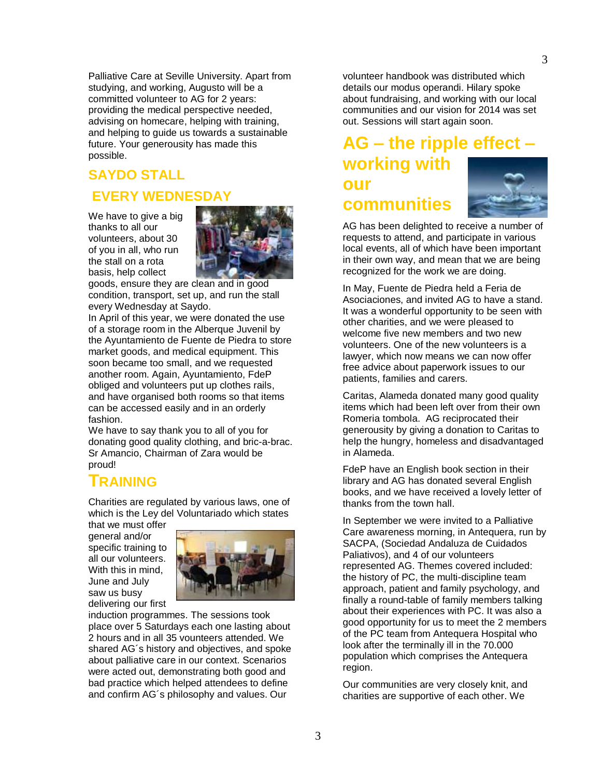Palliative Care at Seville University. Apart from studying, and working, Augusto will be a committed volunteer to AG for 2 years: providing the medical perspective needed, advising on homecare, helping with training, and helping to guide us towards a sustainable future. Your generousity has made this possible.

# **SAYDO STALL**

## **EVERY WEDNESDAY**

We have to give a big thanks to all our volunteers, about 30 of you in all, who run the stall on a rota basis, help collect



goods, ensure they are clean and in good condition, transport, set up, and run the stall every Wednesday at Saydo.

In April of this year, we were donated the use of a storage room in the Alberque Juvenil by the Ayuntamiento de Fuente de Piedra to store market goods, and medical equipment. This soon became too small, and we requested another room. Again, Ayuntamiento, FdeP obliged and volunteers put up clothes rails, and have organised both rooms so that items can be accessed easily and in an orderly fashion.

We have to say thank you to all of you for donating good quality clothing, and bric-a-brac. Sr Amancio, Chairman of Zara would be proud!

## **TRAINING**

Charities are regulated by various laws, one of which is the Ley del Voluntariado which states

that we must offer general and/or specific training to all our volunteers. With this in mind, June and July saw us busy delivering our first



induction programmes. The sessions took place over 5 Saturdays each one lasting about 2 hours and in all 35 vounteers attended. We shared AG´s history and objectives, and spoke about palliative care in our context. Scenarios were acted out, demonstrating both good and bad practice which helped attendees to define and confirm AG´s philosophy and values. Our

volunteer handbook was distributed which details our modus operandi. Hilary spoke about fundraising, and working with our local communities and our vision for 2014 was set out. Sessions will start again soon.

# **AG – the ripple effect – working with our communities**

AG has been delighted to receive a number of requests to attend, and participate in various local events, all of which have been important in their own way, and mean that we are being recognized for the work we are doing.

In May, Fuente de Piedra held a Feria de Asociaciones, and invited AG to have a stand. It was a wonderful opportunity to be seen with other charities, and we were pleased to welcome five new members and two new volunteers. One of the new volunteers is a lawyer, which now means we can now offer free advice about paperwork issues to our patients, families and carers.

Caritas, Alameda donated many good quality items which had been left over from their own Romeria tombola. AG reciprocated their generousity by giving a donation to Caritas to help the hungry, homeless and disadvantaged in Alameda.

FdeP have an English book section in their library and AG has donated several English books, and we have received a lovely letter of thanks from the town hall.

In September we were invited to a Palliative Care awareness morning, in Antequera, run by SACPA, (Sociedad Andaluza de Cuidados Paliativos), and 4 of our volunteers represented AG. Themes covered included: the history of PC, the multi-discipline team approach, patient and family psychology, and finally a round-table of family members talking about their experiences with PC. It was also a good opportunity for us to meet the 2 members of the PC team from Antequera Hospital who look after the terminally ill in the 70.000 population which comprises the Antequera region.

Our communities are very closely knit, and charities are supportive of each other. We